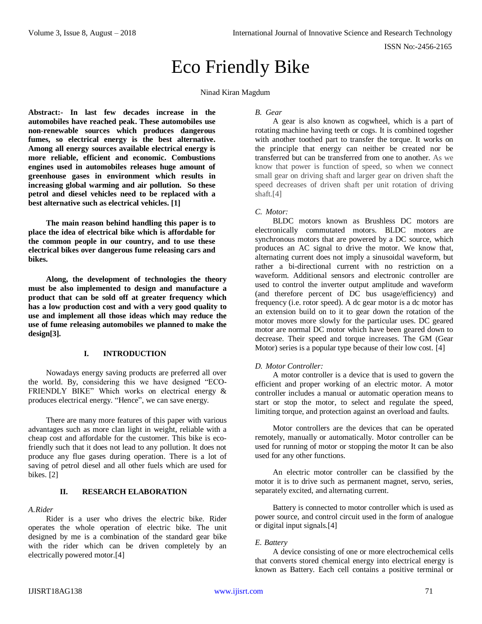# Eco Friendly Bike

Ninad Kiran Magdum

**Abstract:- In last few decades increase in the automobiles have reached peak. These automobiles use non-renewable sources which produces dangerous fumes, so electrical energy is the best alternative. Among all energy sources available electrical energy is more reliable, efficient and economic. Combustions engines used in automobiles releases huge amount of greenhouse gases in environment which results in increasing global warming and air pollution. So these petrol and diesel vehicles need to be replaced with a best alternative such as electrical vehicles. [1]**

**The main reason behind handling this paper is to place the idea of electrical bike which is affordable for the common people in our country, and to use these electrical bikes over dangerous fume releasing cars and bikes.**

**Along, the development of technologies the theory must be also implemented to design and manufacture a product that can be sold off at greater frequency which has a low production cost and with a very good quality to use and implement all those ideas which may reduce the use of fume releasing automobiles we planned to make the design[3].**

## **I. INTRODUCTION**

Nowadays energy saving products are preferred all over the world. By, considering this we have designed "ECO-FRIENDLY BIKE" Which works on electrical energy & produces electrical energy. "Hence", we can save energy.

There are many more features of this paper with various advantages such as more clan light in weight, reliable with a cheap cost and affordable for the customer. This bike is ecofriendly such that it does not lead to any pollution. It does not produce any flue gases during operation. There is a lot of saving of petrol diesel and all other fuels which are used for bikes. [2]

## **II. RESEARCH ELABORATION**

#### *A.Rider*

Rider is a user who drives the electric bike. Rider operates the whole operation of electric bike. The unit designed by me is a combination of the standard gear bike with the rider which can be driven completely by an electrically powered motor.[4]

#### *B. Gear*

A gear is also known as cogwheel, which is a part of rotating machine having teeth or cogs. It is combined together with another toothed part to transfer the torque. It works on the principle that energy can neither be created nor be transferred but can be transferred from one to another. As we know that power is function of speed, so when we connect small gear on driving shaft and larger gear on driven shaft the speed decreases of driven shaft per unit rotation of driving shaft.[4]

## *C. Motor:*

BLDC motors known as Brushless DC motors are electronically commutated motors. BLDC motors are synchronous motors that are powered by a DC source, which produces an AC signal to drive the motor. We know that, alternating current does not imply a sinusoidal waveform, but rather a bi-directional current with no restriction on a waveform. Additional sensors and electronic controller are used to control the inverter output amplitude and waveform (and therefore percent of DC bus usage/efficiency) and frequency (i.e. rotor speed). A dc gear motor is a dc motor has an extension build on to it to gear down the rotation of the motor moves more slowly for the particular uses. DC geared motor are normal DC motor which have been geared down to decrease. Their speed and torque increases. The GM (Gear Motor) series is a popular type because of their low cost. [4]

## *D. Motor Controller:*

A motor controller is a device that is used to govern the efficient and proper working of an electric motor. A motor controller includes a manual or automatic operation means to start or stop the motor, to select and regulate the speed, limiting torque, and protection against an overload and faults.

Motor controllers are the devices that can be operated remotely, manually or automatically. Motor controller can be used for running of motor or stopping the motor It can be also used for any other functions.

An electric motor controller can be classified by the motor it is to drive such as permanent magnet, servo, series, separately excited, and alternating current.

Battery is connected to motor controller which is used as power source, and control circuit used in the form of analogue or digital input signals.[4]

## *E. Battery*

A device consisting of one or more electrochemical cells that converts stored chemical energy into electrical energy is known as Battery. Each cell contains a positive terminal or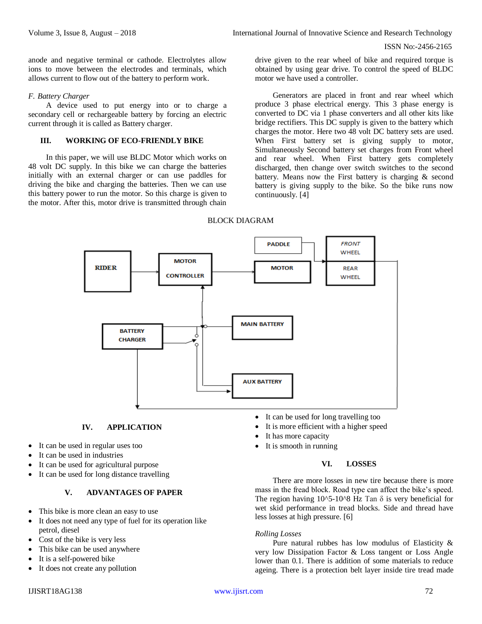ISSN No:-2456-2165

anode and negative terminal or cathode. Electrolytes allow ions to move between the electrodes and terminals, which allows current to flow out of the battery to perform work.

#### *F. Battery Charger*

A device used to put energy into or to charge a secondary cell or rechargeable battery by forcing an electric current through it is called as Battery charger.

## **III. WORKING OF ECO-FRIENDLY BIKE**

In this paper, we will use BLDC Motor which works on 48 volt DC supply. In this bike we can charge the batteries initially with an external charger or can use paddles for driving the bike and charging the batteries. Then we can use this battery power to run the motor. So this charge is given to the motor. After this, motor drive is transmitted through chain drive given to the rear wheel of bike and required torque is obtained by using gear drive. To control the speed of BLDC motor we have used a controller.

Generators are placed in front and rear wheel which produce 3 phase electrical energy. This 3 phase energy is converted to DC via 1 phase converters and all other kits like bridge rectifiers. This DC supply is given to the battery which charges the motor. Here two 48 volt DC battery sets are used. When First battery set is giving supply to motor, Simultaneously Second battery set charges from Front wheel and rear wheel. When First battery gets completely discharged, then change over switch switches to the second battery. Means now the First battery is charging & second battery is giving supply to the bike. So the bike runs now continuously. [4]

#### BLOCK DIAGRAM



# **IV. APPLICATION**

- It can be used in regular uses too
- It can be used in industries
- It can be used for agricultural purpose
- It can be used for long distance travelling

## **V. ADVANTAGES OF PAPER**

- This bike is more clean an easy to use
- It does not need any type of fuel for its operation like petrol, diesel
- Cost of the bike is very less
- This bike can be used anywhere
- It is a self-powered bike
- It does not create any pollution
- It is more efficient with a higher speed It has more capacity
- It is smooth in running

#### **VI. LOSSES**

There are more losses in new tire because there is more mass in the fread block. Road type can affect the bike's speed. The region having  $10^{\circ}5$ -10<sup> $\circ$ 8</sup> Hz Tan  $\delta$  is very beneficial for wet skid performance in tread blocks. Side and thread have less losses at high pressure. [6]

#### *Rolling Losses*

Pure natural rubbes has low modulus of Elasticity & very low Dissipation Factor & Loss tangent or Loss Angle lower than 0.1. There is addition of some materials to reduce ageing. There is a protection belt layer inside tire tread made